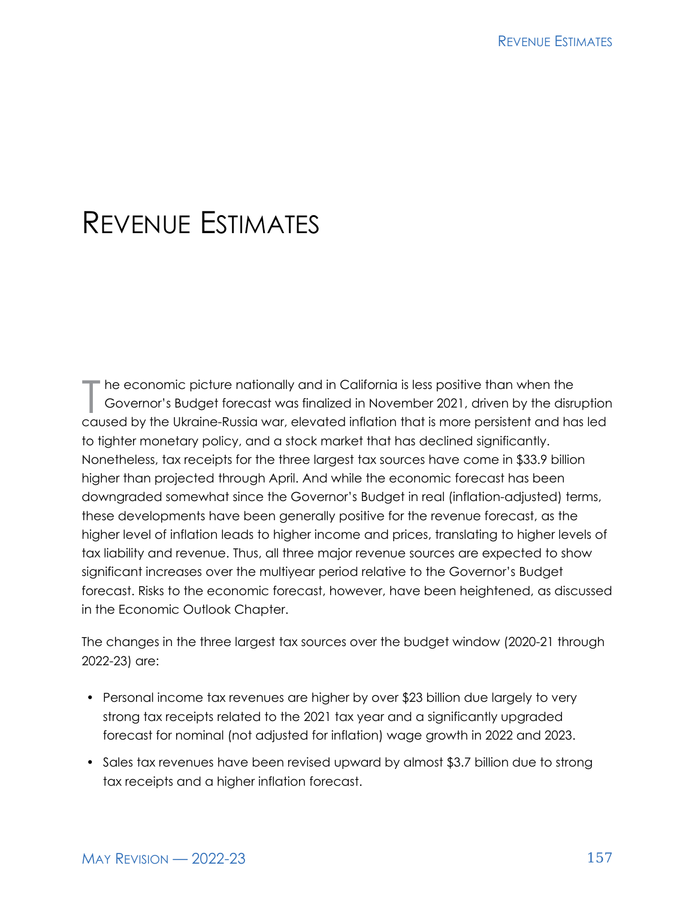# REVENUE ESTIMATES

The economic picture nationally and in California is less positive than when the<br>Governor's Budget forecast was finalized in November 2021, driven by the disrue<br>Sexual by the Ultraine Business: alouated inflation that is m Governor's Budget forecast was finalized in November 2021, driven by the disruption caused by the Ukraine-Russia war, elevated inflation that is more persistent and has led to tighter monetary policy, and a stock market that has declined significantly. Nonetheless, tax receipts for the three largest tax sources have come in \$33.9 billion higher than projected through April. And while the economic forecast has been downgraded somewhat since the Governor's Budget in real (inflation-adjusted) terms, these developments have been generally positive for the revenue forecast, as the higher level of inflation leads to higher income and prices, translating to higher levels of tax liability and revenue. Thus, all three major revenue sources are expected to show significant increases over the multiyear period relative to the Governor's Budget forecast. Risks to the economic forecast, however, have been heightened, as discussed in the Economic Outlook Chapter.

The changes in the three largest tax sources over the budget window (2020-21 through 2022-23) are:

- Personal income tax revenues are higher by over \$23 billion due largely to very strong tax receipts related to the 2021 tax year and a significantly upgraded forecast for nominal (not adjusted for inflation) wage growth in 2022 and 2023.
- Sales tax revenues have been revised upward by almost \$3.7 billion due to strong tax receipts and a higher inflation forecast.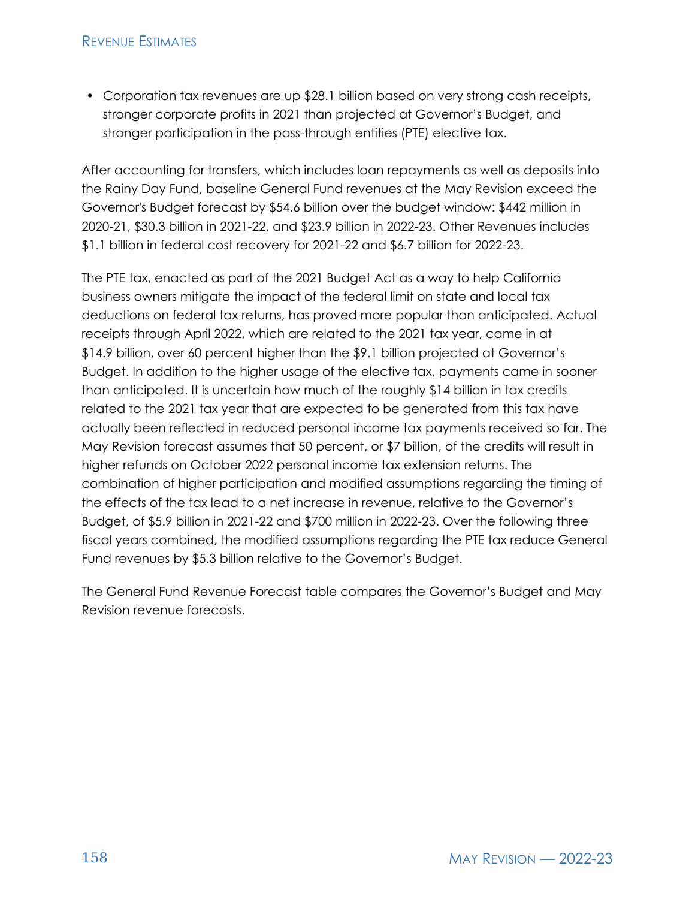#### **REVENUE ESTIMATES**

• Corporation tax revenues are up \$28.1 billion based on very strong cash receipts, stronger corporate profits in 2021 than projected at Governor's Budget, and stronger participation in the pass-through entities (PTE) elective tax.

After accounting for transfers, which includes loan repayments as well as deposits into the Rainy Day Fund, baseline General Fund revenues at the May Revision exceed the Governor's Budget forecast by \$54.6 billion over the budget window: \$442 million in 2020-21, \$30.3 billion in 2021-22, and \$23.9 billion in 2022-23. Other Revenues includes \$1.1 billion in federal cost recovery for 2021-22 and \$6.7 billion for 2022-23.

The PTE tax, enacted as part of the 2021 Budget Act as a way to help California business owners mitigate the impact of the federal limit on state and local tax deductions on federal tax returns, has proved more popular than anticipated. Actual receipts through April 2022, which are related to the 2021 tax year, came in at \$14.9 billion, over 60 percent higher than the \$9.1 billion projected at Governor's Budget. In addition to the higher usage of the elective tax, payments came in sooner than anticipated. It is uncertain how much of the roughly \$14 billion in tax credits related to the 2021 tax year that are expected to be generated from this tax have actually been reflected in reduced personal income tax payments received so far. The May Revision forecast assumes that 50 percent, or \$7 billion, of the credits will result in higher refunds on October 2022 personal income tax extension returns. The combination of higher participation and modified assumptions regarding the timing of the effects of the tax lead to a net increase in revenue, relative to the Governor's Budget, of \$5.9 billion in 2021-22 and \$700 million in 2022-23. Over the following three fiscal years combined, the modified assumptions regarding the PTE tax reduce General Fund revenues by \$5.3 billion relative to the Governor's Budget.

The General Fund Revenue Forecast table compares the Governor's Budget and May Revision revenue forecasts.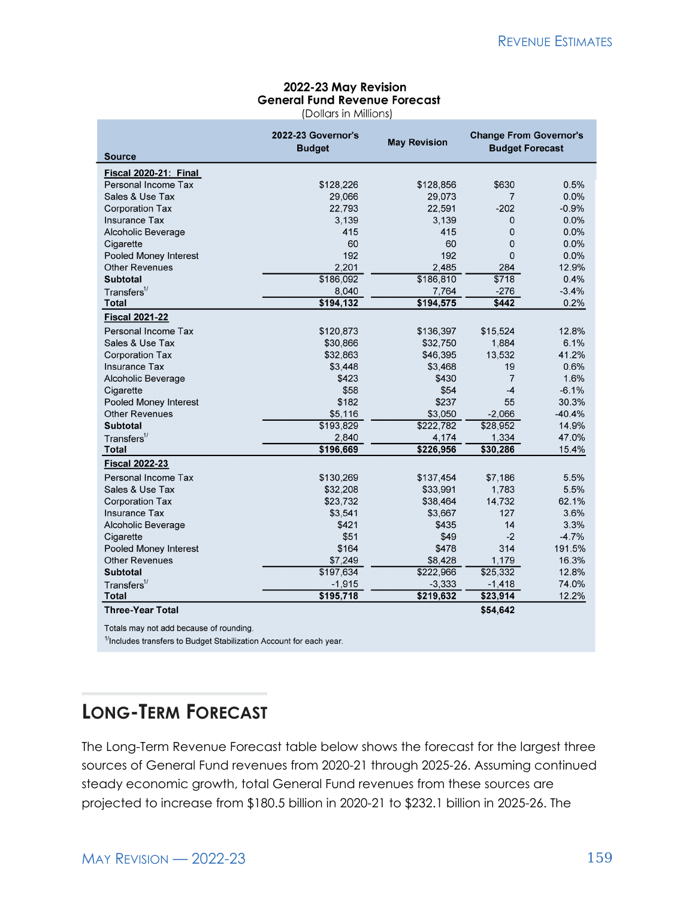#### 2022-23 May Revision **General Fund Revenue Forecast**

(Dollars in Millions)

| <b>Source</b>                | 2022-23 Governor's<br><b>Budget</b> | <b>May Revision</b> | <b>Change From Governor's</b><br><b>Budget Forecast</b> |          |
|------------------------------|-------------------------------------|---------------------|---------------------------------------------------------|----------|
| <b>Fiscal 2020-21: Final</b> |                                     |                     |                                                         |          |
| Personal Income Tax          | \$128,226                           | \$128,856           | \$630                                                   | 0.5%     |
| Sales & Use Tax              | 29,066                              | 29,073              | $\overline{7}$                                          | 0.0%     |
| <b>Corporation Tax</b>       | 22,793                              | 22,591              | $-202$                                                  | $-0.9%$  |
| <b>Insurance Tax</b>         | 3,139                               | 3,139               | 0                                                       | 0.0%     |
| Alcoholic Beverage           | 415                                 | 415                 | 0                                                       | 0.0%     |
| Cigarette                    | 60                                  | 60                  | 0                                                       | 0.0%     |
| Pooled Money Interest        | 192                                 | 192                 | $\overline{0}$                                          | 0.0%     |
| <b>Other Revenues</b>        | 2,201                               | 2,485               | 284                                                     | 12.9%    |
| <b>Subtotal</b>              | \$186,092                           | \$186,810           | \$718                                                   | 0.4%     |
| Transfers <sup>1</sup>       | 8,040                               | 7,764               | $-276$                                                  | $-3.4%$  |
| <b>Total</b>                 | \$194,132                           | \$194,575           | \$442                                                   | 0.2%     |
| <b>Fiscal 2021-22</b>        |                                     |                     |                                                         |          |
| Personal Income Tax          | \$120,873                           | \$136,397           | \$15,524                                                | 12.8%    |
| Sales & Use Tax              | \$30,866                            | \$32,750            | 1,884                                                   | 6.1%     |
| <b>Corporation Tax</b>       | \$32,863                            | \$46,395            | 13,532                                                  | 41.2%    |
| <b>Insurance Tax</b>         | \$3,448                             | \$3,468             | 19                                                      | 0.6%     |
| Alcoholic Beverage           | \$423                               | \$430               | $\overline{7}$                                          | 1.6%     |
| Cigarette                    | \$58                                | \$54                | $-4$                                                    | $-6.1%$  |
| Pooled Money Interest        | \$182                               | \$237               | 55                                                      | 30.3%    |
| <b>Other Revenues</b>        | \$5,116                             | \$3,050             | $-2,066$                                                | $-40.4%$ |
| <b>Subtotal</b>              | \$193,829                           | \$222,782           | \$28,952                                                | 14.9%    |
| Transfers <sup>1</sup>       | 2,840                               | 4.174               | 1,334                                                   | 47.0%    |
| <b>Total</b>                 | \$196,669                           | \$226,956           | \$30,286                                                | 15.4%    |
| <b>Fiscal 2022-23</b>        |                                     |                     |                                                         |          |
| Personal Income Tax          | \$130,269                           | \$137,454           | \$7,186                                                 | 5.5%     |
| Sales & Use Tax              | \$32,208                            | \$33,991            | 1,783                                                   | 5.5%     |
| <b>Corporation Tax</b>       | \$23,732                            | \$38,464            | 14,732                                                  | 62.1%    |
| <b>Insurance Tax</b>         | \$3,541                             | \$3,667             | 127                                                     | 3.6%     |
| Alcoholic Beverage           | \$421                               | \$435               | 14                                                      | 3.3%     |
| Cigarette                    | \$51                                | \$49                | $-2$                                                    | $-4.7%$  |
| Pooled Money Interest        | \$164                               | \$478               | 314                                                     | 191.5%   |
| <b>Other Revenues</b>        | \$7,249                             | \$8,428             | 1,179                                                   | 16.3%    |
| <b>Subtotal</b>              | \$197,634                           | \$222,966           | \$25,332                                                | 12.8%    |
| Transfers <sup>1/</sup>      | $-1,915$                            | $-3.333$            | $-1,418$                                                | 74.0%    |
| <b>Total</b>                 | \$195,718                           | \$219,632           | \$23,914                                                | 12.2%    |
| <b>Three-Year Total</b>      |                                     |                     | \$54,642                                                |          |

Totals may not add because of rounding.

<sup>1/</sup>Includes transfers to Budget Stabilization Account for each year.

# **LONG-TERM FORECAST**

The Long-Term Revenue Forecast table below shows the forecast for the largest three sources of General Fund revenues from 2020-21 through 2025-26. Assuming continued steady economic growth, total General Fund revenues from these sources are projected to increase from \$180.5 billion in 2020-21 to \$232.1 billion in 2025-26. The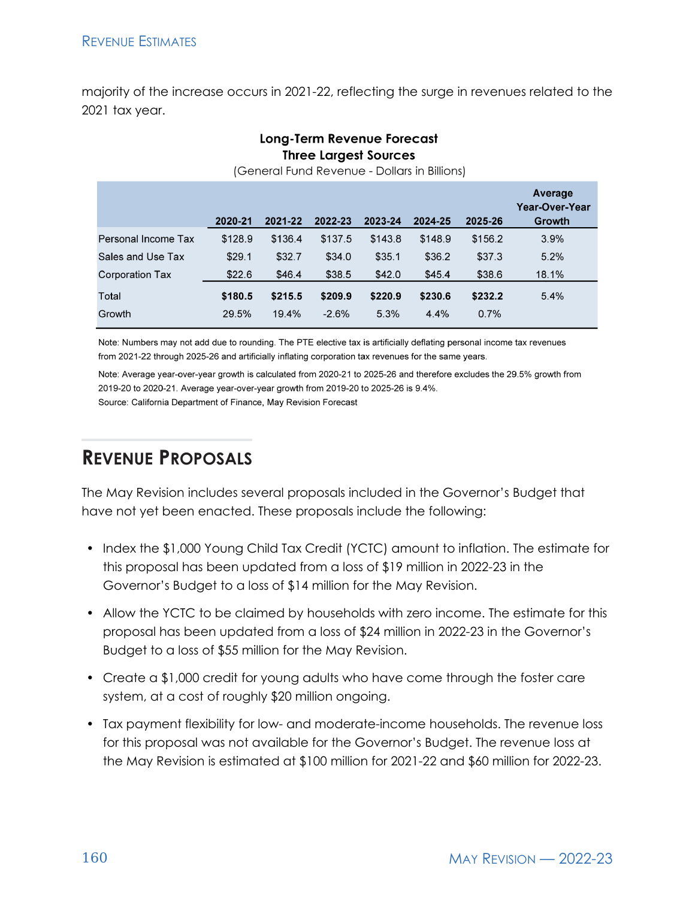majority of the increase occurs in 2021-22, reflecting the surge in revenues related to the 2021 tax year.

Long-Term Revenue Forecast

#### **Three Largest Sources** (General Fund Revenue - Dollars in Billions) Average Year-Over-Year 2020-21 2021-22 2022-23 2023-24 Growth 2024-25 2025-26 Personal Income Tax \$136.4 3.9% \$128.9 \$137.5 \$143.8 \$148.9 \$156.2 Sales and Use Tax  $$29.1$  $$32.7$ \$34.0  $$35.1$ \$36.2 \$37.3 5.2% **Corporation Tax** \$22.6 \$38.5 \$45.4 \$38.6 18.1% \$46.4 \$42.0 Total \$180.5  $$215.5$ \$209.9 \$220.9 \$230.6 \$232.2 5.4% Growth 29.5% 19.4%  $-2.6%$ 5.3% 4.4% 0.7%

Note: Numbers may not add due to rounding. The PTE elective tax is artificially deflating personal income tax revenues from 2021-22 through 2025-26 and artificially inflating corporation tax revenues for the same years.

Note: Average year-over-year growth is calculated from 2020-21 to 2025-26 and therefore excludes the 29.5% growth from 2019-20 to 2020-21. Average year-over-year growth from 2019-20 to 2025-26 is 9.4%. Source: California Department of Finance, May Revision Forecast

# **REVENUE PROPOSALS**

The May Revision includes several proposals included in the Governor's Budget that have not yet been enacted. These proposals include the following:

- Index the \$1,000 Young Child Tax Credit (YCTC) amount to inflation. The estimate for this proposal has been updated from a loss of \$19 million in 2022-23 in the Governor's Budget to a loss of \$14 million for the May Revision.
- Allow the YCTC to be claimed by households with zero income. The estimate for this proposal has been updated from a loss of \$24 million in 2022-23 in the Governor's Budget to a loss of \$55 million for the May Revision.
- Create a \$1,000 credit for young adults who have come through the foster care system, at a cost of roughly \$20 million ongoing.
- Tax payment flexibility for low- and moderate-income households. The revenue loss for this proposal was not available for the Governor's Budget. The revenue loss at the May Revision is estimated at \$100 million for 2021-22 and \$60 million for 2022-23.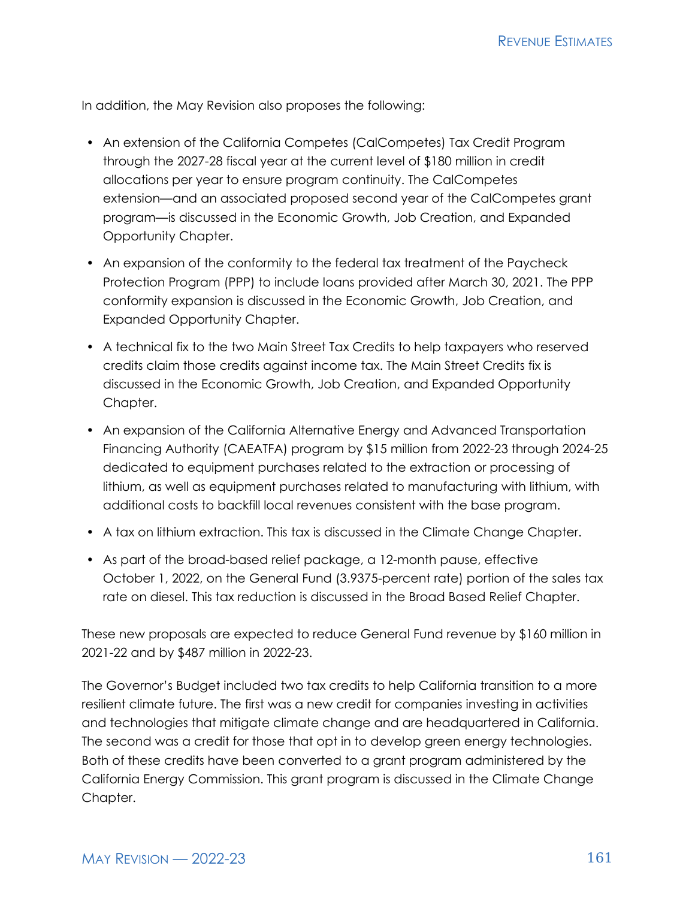In addition, the May Revision also proposes the following:

- An extension of the California Competes (CalCompetes) Tax Credit Program through the 2027-28 fiscal year at the current level of \$180 million in credit allocations per year to ensure program continuity. The CalCompetes extension—and an associated proposed second year of the CalCompetes grant program—is discussed in the Economic Growth, Job Creation, and Expanded Opportunity Chapter.
- An expansion of the conformity to the federal tax treatment of the Paycheck Protection Program (PPP) to include loans provided after March 30, 2021. The PPP conformity expansion is discussed in the Economic Growth, Job Creation, and Expanded Opportunity Chapter.
- A technical fix to the two Main Street Tax Credits to help taxpayers who reserved credits claim those credits against income tax. The Main Street Credits fix is discussed in the Economic Growth, Job Creation, and Expanded Opportunity Chapter.
- An expansion of the California Alternative Energy and Advanced Transportation Financing Authority (CAEATFA) program by \$15 million from 2022-23 through 2024-25 dedicated to equipment purchases related to the extraction or processing of lithium, as well as equipment purchases related to manufacturing with lithium, with additional costs to backfill local revenues consistent with the base program.
- A tax on lithium extraction. This tax is discussed in the Climate Change Chapter.
- As part of the broad-based relief package, a 12-month pause, effective October 1, 2022, on the General Fund (3.9375-percent rate) portion of the sales tax rate on diesel. This tax reduction is discussed in the Broad Based Relief Chapter.

These new proposals are expected to reduce General Fund revenue by \$160 million in 2021-22 and by \$487 million in 2022-23.

The Governor's Budget included two tax credits to help California transition to a more resilient climate future. The first was a new credit for companies investing in activities and technologies that mitigate climate change and are headquartered in California. The second was a credit for those that opt in to develop green energy technologies. Both of these credits have been converted to a grant program administered by the California Energy Commission. This grant program is discussed in the Climate Change Chapter.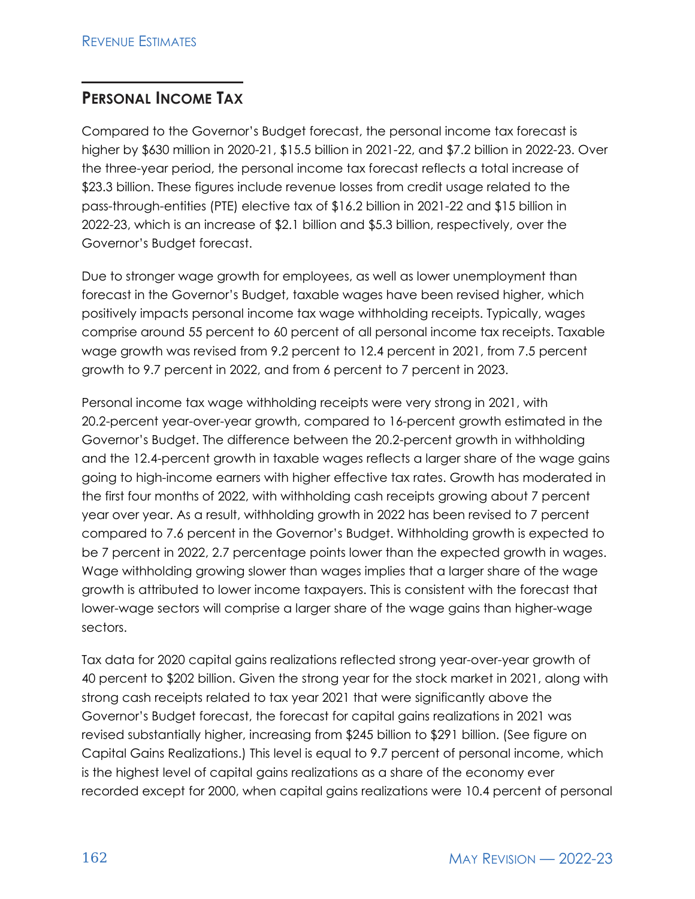### **PERSONAL INCOME TAX**

Compared to the Governor's Budget forecast, the personal income tax forecast is higher by \$630 million in 2020-21, \$15.5 billion in 2021-22, and \$7.2 billion in 2022-23. Over the three-year period, the personal income tax forecast reflects a total increase of \$23.3 billion. These figures include revenue losses from credit usage related to the pass-through-entities (PTE) elective tax of \$16.2 billion in 2021-22 and \$15 billion in 2022-23, which is an increase of \$2.1 billion and \$5.3 billion, respectively, over the Governor's Budget forecast.

Due to stronger wage growth for employees, as well as lower unemployment than forecast in the Governor's Budget, taxable wages have been revised higher, which positively impacts personal income tax wage withholding receipts. Typically, wages comprise around 55 percent to 60 percent of all personal income tax receipts. Taxable wage growth was revised from 9.2 percent to 12.4 percent in 2021, from 7.5 percent growth to 9.7 percent in 2022, and from 6 percent to 7 percent in 2023.

Personal income tax wage withholding receipts were very strong in 2021, with 20.2-percent year-over-year growth, compared to 16-percent growth estimated in the Governor's Budget. The difference between the 20.2-percent growth in withholding and the 12.4-percent growth in taxable wages reflects a larger share of the wage gains going to high-income earners with higher effective tax rates. Growth has moderated in the first four months of 2022, with withholding cash receipts growing about 7 percent year over year. As a result, withholding growth in 2022 has been revised to 7 percent compared to 7.6 percent in the Governor's Budget. Withholding growth is expected to be 7 percent in 2022, 2.7 percentage points lower than the expected growth in wages. Wage withholding growing slower than wages implies that a larger share of the wage growth is attributed to lower income taxpayers. This is consistent with the forecast that lower-wage sectors will comprise a larger share of the wage gains than higher-wage sectors.

Tax data for 2020 capital gains realizations reflected strong year-over-year growth of 40 percent to \$202 billion. Given the strong year for the stock market in 2021, along with strong cash receipts related to tax year 2021 that were significantly above the Governor's Budget forecast, the forecast for capital gains realizations in 2021 was revised substantially higher, increasing from \$245 billion to \$291 billion. (See figure on Capital Gains Realizations.) This level is equal to 9.7 percent of personal income, which is the highest level of capital gains realizations as a share of the economy ever recorded except for 2000, when capital gains realizations were 10.4 percent of personal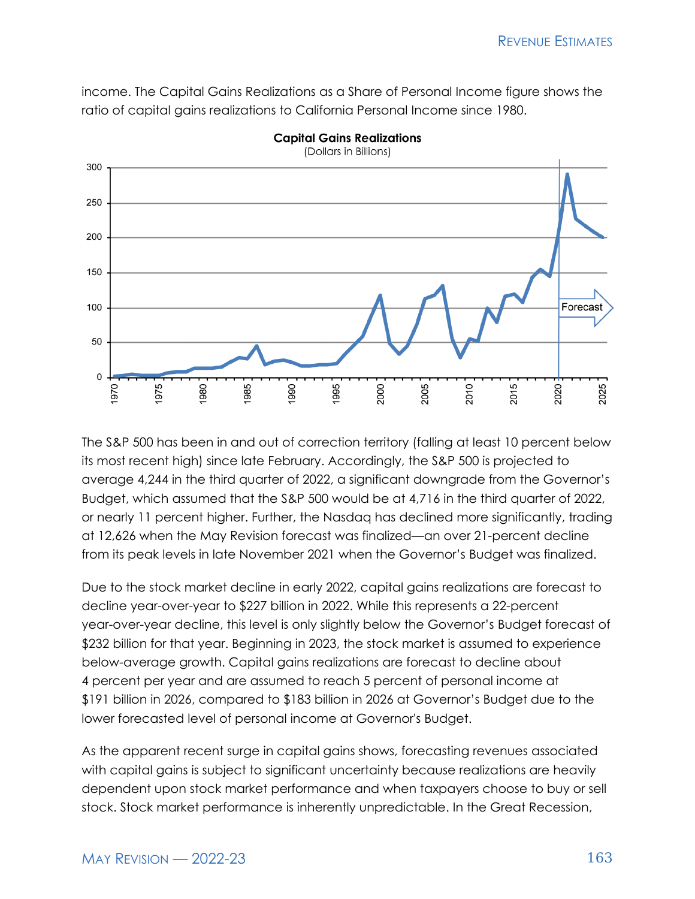income. The Capital Gains Realizations as a Share of Personal Income figure shows the ratio of capital gains realizations to California Personal Income since 1980.



**Capital Gains Realizations** 

The S&P 500 has been in and out of correction territory (falling at least 10 percent below its most recent high) since late February. Accordingly, the S&P 500 is projected to average 4,244 in the third quarter of 2022, a significant downgrade from the Governor's Budget, which assumed that the S&P 500 would be at 4,716 in the third quarter of 2022, or nearly 11 percent higher. Further, the Nasdaq has declined more significantly, trading at 12,626 when the May Revision forecast was finalized—an over 21-percent decline from its peak levels in late November 2021 when the Governor's Budget was finalized.

Due to the stock market decline in early 2022, capital gains realizations are forecast to decline year-over-year to \$227 billion in 2022. While this represents a 22-percent year-over-year decline, this level is only slightly below the Governor's Budget forecast of \$232 billion for that year. Beginning in 2023, the stock market is assumed to experience below-average growth. Capital gains realizations are forecast to decline about 4 percent per year and are assumed to reach 5 percent of personal income at \$191 billion in 2026, compared to \$183 billion in 2026 at Governor's Budget due to the lower forecasted level of personal income at Governor's Budget.

As the apparent recent surge in capital gains shows, forecasting revenues associated with capital gains is subject to significant uncertainty because realizations are heavily dependent upon stock market performance and when taxpayers choose to buy or sell stock. Stock market performance is inherently unpredictable. In the Great Recession,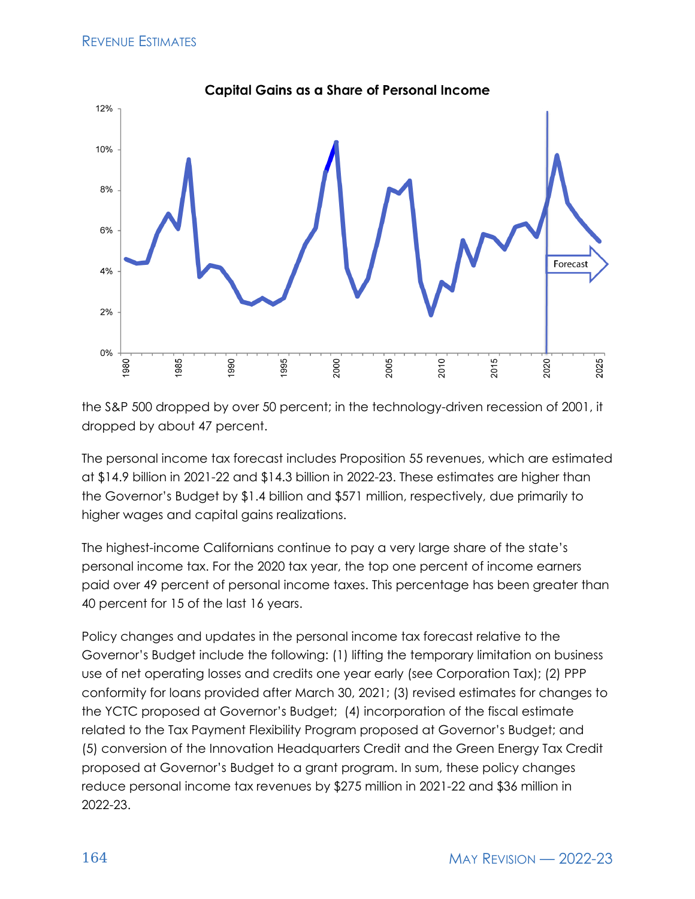

the S&P 500 dropped by over 50 percent; in the technology-driven recession of 2001, it dropped by about 47 percent.

The personal income tax forecast includes Proposition 55 revenues, which are estimated at \$14.9 billion in 2021-22 and \$14.3 billion in 2022-23. These estimates are higher than the Governor's Budget by \$1.4 billion and \$571 million, respectively, due primarily to higher wages and capital gains realizations.

The highest-income Californians continue to pay a very large share of the state's personal income tax. For the 2020 tax year, the top one percent of income earners paid over 49 percent of personal income taxes. This percentage has been greater than 40 percent for 15 of the last 16 years.

Policy changes and updates in the personal income tax forecast relative to the Governor's Budget include the following: (1) lifting the temporary limitation on business use of net operating losses and credits one year early (see Corporation Tax); (2) PPP conformity for loans provided after March 30, 2021; (3) revised estimates for changes to the YCTC proposed at Governor's Budget; (4) incorporation of the fiscal estimate related to the Tax Payment Flexibility Program proposed at Governor's Budget; and (5) conversion of the Innovation Headquarters Credit and the Green Energy Tax Credit proposed at Governor's Budget to a grant program. In sum, these policy changes reduce personal income tax revenues by \$275 million in 2021-22 and \$36 million in 2022-23.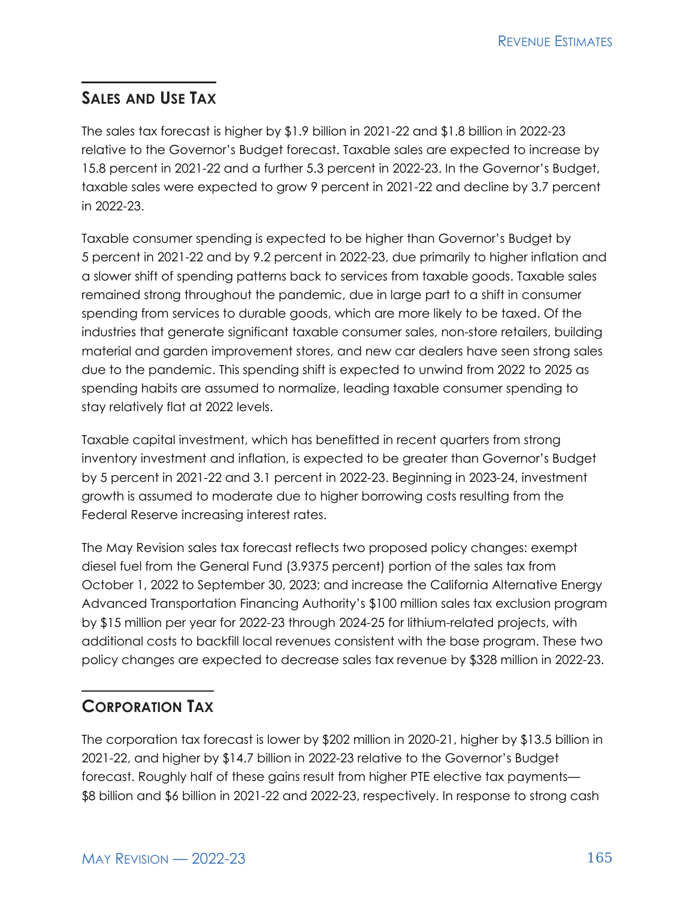**REVENUE ESTIMATES** 

### **SALES AND USE TAX**

The sales tax forecast is higher by \$1.9 billion in 2021-22 and \$1.8 billion in 2022-23 relative to the Governor's Budget forecast. Taxable sales are expected to increase by 15.8 percent in 2021-22 and a further 5.3 percent in 2022-23. In the Governor's Budget, taxable sales were expected to grow 9 percent in 2021-22 and decline by 3.7 percent in 2022-23.

Taxable consumer spending is expected to be higher than Governor's Budget by 5 percent in 2021-22 and by 9.2 percent in 2022-23, due primarily to higher inflation and a slower shift of spending patterns back to services from taxable goods. Taxable sales remained strong throughout the pandemic, due in large part to a shift in consumer spending from services to durable goods, which are more likely to be taxed. Of the industries that generate significant taxable consumer sales, non-store retailers, building material and garden improvement stores, and new car dealers have seen strong sales due to the pandemic. This spending shift is expected to unwind from 2022 to 2025 as spending habits are assumed to normalize, leading taxable consumer spending to stay relatively flat at 2022 levels.

Taxable capital investment, which has benefitted in recent quarters from strong inventory investment and inflation, is expected to be greater than Governor's Budget by 5 percent in 2021-22 and 3.1 percent in 2022-23. Beginning in 2023-24, investment growth is assumed to moderate due to higher borrowing costs resulting from the Federal Reserve increasing interest rates.

The May Revision sales tax forecast reflects two proposed policy changes: exempt diesel fuel from the General Fund (3.9375 percent) portion of the sales tax from October 1, 2022 to September 30, 2023; and increase the California Alternative Energy Advanced Transportation Financing Authority's \$100 million sales tax exclusion program by \$15 million per year for 2022-23 through 2024-25 for lithium-related projects, with additional costs to backfill local revenues consistent with the base program. These two policy changes are expected to decrease sales tax revenue by \$328 million in 2022-23.

#### **CORPORATION TAX**

The corporation tax forecast is lower by \$202 million in 2020-21, higher by \$13.5 billion in 2021-22, and higher by \$14.7 billion in 2022-23 relative to the Governor's Budget forecast. Roughly half of these gains result from higher PTE elective tax payments— \$8 billion and \$6 billion in 2021-22 and 2022-23, respectively. In response to strong cash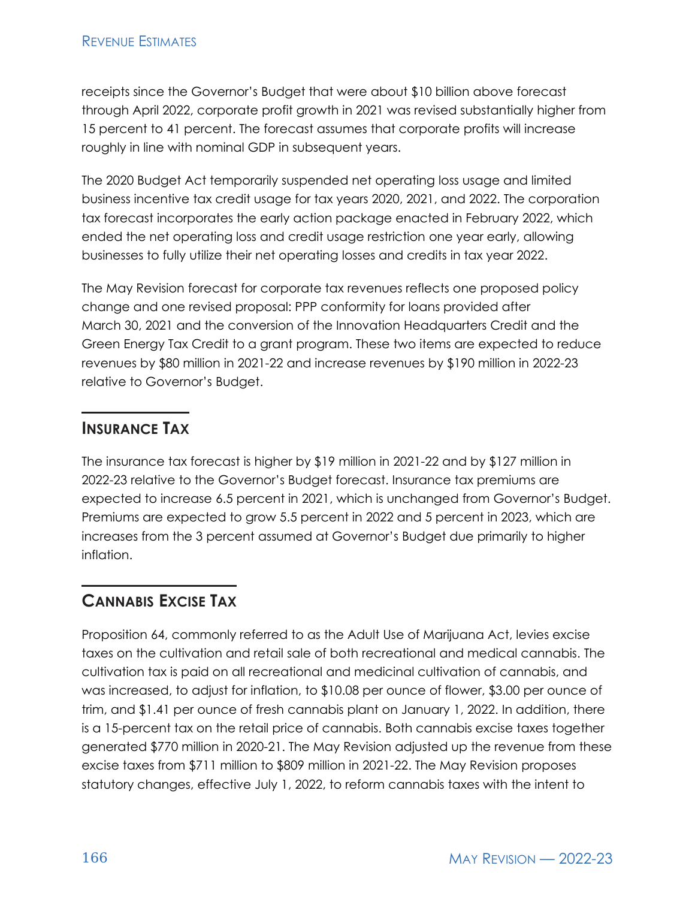receipts since the Governor's Budget that were about \$10 billion above forecast through April 2022, corporate profit growth in 2021 was revised substantially higher from 15 percent to 41 percent. The forecast assumes that corporate profits will increase roughly in line with nominal GDP in subsequent years.

The 2020 Budget Act temporarily suspended net operating loss usage and limited business incentive tax credit usage for tax years 2020, 2021, and 2022. The corporation tax forecast incorporates the early action package enacted in February 2022, which ended the net operating loss and credit usage restriction one year early, allowing businesses to fully utilize their net operating losses and credits in tax year 2022.

The May Revision forecast for corporate tax revenues reflects one proposed policy change and one revised proposal: PPP conformity for loans provided after March 30, 2021 and the conversion of the Innovation Headquarters Credit and the Green Energy Tax Credit to a grant program. These two items are expected to reduce revenues by \$80 million in 2021-22 and increase revenues by \$190 million in 2022-23 relative to Governor's Budget.

### **INSURANCE TAX**

The insurance tax forecast is higher by \$19 million in 2021-22 and by \$127 million in 2022-23 relative to the Governor's Budget forecast. Insurance tax premiums are expected to increase 6.5 percent in 2021, which is unchanged from Governor's Budget. Premiums are expected to grow 5.5 percent in 2022 and 5 percent in 2023, which are increases from the 3 percent assumed at Governor's Budget due primarily to higher inflation.

## **CANNABIS EXCISE TAX**

Proposition 64, commonly referred to as the Adult Use of Marijuana Act, levies excise taxes on the cultivation and retail sale of both recreational and medical cannabis. The cultivation tax is paid on all recreational and medicinal cultivation of cannabis, and was increased, to adjust for inflation, to \$10.08 per ounce of flower, \$3.00 per ounce of trim, and \$1.41 per ounce of fresh cannabis plant on January 1, 2022. In addition, there is a 15-percent tax on the retail price of cannabis. Both cannabis excise taxes together generated \$770 million in 2020-21. The May Revision adjusted up the revenue from these excise taxes from \$711 million to \$809 million in 2021-22. The May Revision proposes statutory changes, effective July 1, 2022, to reform cannabis taxes with the intent to